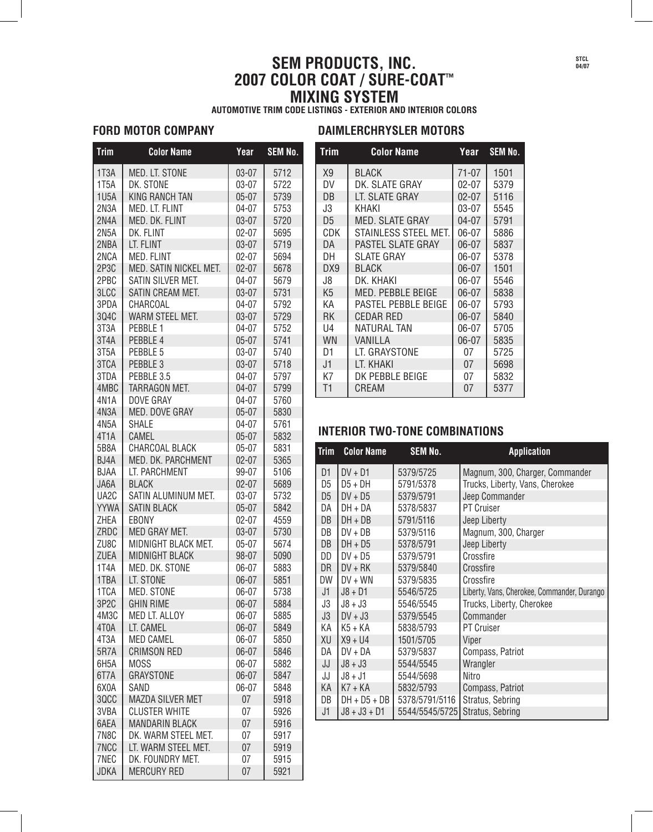# **SEM PRODUCTS, INC. 2007 COLOR COAT / SURE-COAT™ MIXING SYSTEM**

**AUTOMOTIVE TRIM CODE LISTINGS - EXTERIOR AND INTERIOR COLORS**

## **FORD MOTOR COMPANY DAIMLERCHRYSLER MOTORS**

| <b>Trim</b>       | <b>Color Name</b>       | Year      | SEM No. |  |
|-------------------|-------------------------|-----------|---------|--|
| 1T3A              | MED. LT. STONE          | $03 - 07$ | 5712    |  |
| 1T <sub>5</sub> A | DK. STONE               | $03 - 07$ | 5722    |  |
| 1U <sub>5</sub> A | <b>KING RANCH TAN</b>   | $05 - 07$ | 5739    |  |
| 2N3A              | MED. LT. FLINT          | $04 - 07$ | 5753    |  |
| 2N4A              | MED. DK. FLINT          | $03 - 07$ | 5720    |  |
| 2N <sub>5</sub> A | DK. FLINT               | $02 - 07$ | 5695    |  |
| 2NBA              | LT. FLINT               | $03 - 07$ | 5719    |  |
| 2NCA              | MED. FLINT              | $02 - 07$ | 5694    |  |
| 2P3C              | MED. SATIN NICKEL MET.  | $02 - 07$ | 5678    |  |
| 2PBC              | SATIN SILVER MET.       | $04 - 07$ | 5679    |  |
| 3LCC              | SATIN CREAM MET.        | $03 - 07$ | 5731    |  |
| 3PDA              | CHARCOAL                | $04 - 07$ | 5792    |  |
| 304C              | WARM STEEL MET.         | $03 - 07$ | 5729    |  |
| 3T <sub>3</sub> A | PEBBLE 1                | $04 - 07$ | 5752    |  |
| 3T4A              | PEBBLE 4                | $05 - 07$ | 5741    |  |
| 3T5A              | PEBBLE 5                | $03 - 07$ | 5740    |  |
| 3TCA              | PEBBLE 3                | $03 - 07$ | 5718    |  |
| 3TDA              | PEBBLE 3.5              | $04 - 07$ | 5797    |  |
| 4MBC              | <b>TARRAGON MET.</b>    | $04 - 07$ | 5799    |  |
| 4N <sub>1</sub> A | DOVE GRAY               | $04 - 07$ | 5760    |  |
| 4N3A              | MED. DOVE GRAY          | $05 - 07$ | 5830    |  |
| 4N <sub>5</sub> A | <b>SHALE</b>            | 04-07     | 5761    |  |
| 4T <sub>1</sub> A | CAMEL                   | $05 - 07$ | 5832    |  |
| 5B8A              | CHARCOAL BLACK          | $05 - 07$ | 5831    |  |
| BJ4A              | MED. DK. PARCHMENT      | $02 - 07$ | 5365    |  |
| <b>BJAA</b>       | LT. PARCHMENT           | 99-07     | 5106    |  |
| JA6A              | <b>BLACK</b>            | $02 - 07$ | 5689    |  |
| UA <sub>2</sub> C | SATIN ALUMINUM MET.     | 03-07     | 5732    |  |
| <b>YYWA</b>       | <b>SATIN BLACK</b>      | $05 - 07$ | 5842    |  |
| ZHEA              | EBONY                   | $02 - 07$ | 4559    |  |
| ZRDC              | MED GRAY MET.           | $03 - 07$ | 5730    |  |
| ZU8C              | MIDNIGHT BLACK MET.     | $05 - 07$ | 5674    |  |
| <b>ZUEA</b>       | <b>MIDNIGHT BLACK</b>   | 98-07     | 5090    |  |
| 1T4A              | MED. DK. STONE          | 06-07     | 5883    |  |
| 1TBA              | LT. STONE               | 06-07     | 5851    |  |
| 1TCA              | MED. STONE              | 06-07     | 5738    |  |
| 3P2C              | <b>GHIN RIME</b>        | 06-07     | 5884    |  |
| 4M3C              | MED LT. ALLOY           | 06-07     | 5885    |  |
| 4T0A              | LT. CAMEL               | 06-07     | 5849    |  |
| 4T3A              | <b>MED CAMEL</b>        | 06-07     | 5850    |  |
| 5R7A              | <b>CRIMSON RED</b>      | 06-07     | 5846    |  |
| 6H5A              | MOSS                    | 06-07     | 5882    |  |
| 6T7A              | <b>GRAYSTONE</b>        | 06-07     | 5847    |  |
| 6X0A              | SAND                    | 06-07     | 5848    |  |
| 3QCC              | <b>MAZDA SILVER MET</b> | 07        | 5918    |  |
| 3VBA              | <b>CLUSTER WHITE</b>    | 07        | 5926    |  |
| 6AEA              | <b>MANDARIN BLACK</b>   | 07        | 5916    |  |
| 7N8C              | DK. WARM STEEL MET.     | 07        | 5917    |  |
| 7NCC              | LT. WARM STEEL MET.     | 07        | 5919    |  |
| 7NEC              | DK. FOUNDRY MET.        | 07        | 5915    |  |
| <b>JDKA</b>       | <b>MERCURY RED</b>      | 07        | 5921    |  |
|                   |                         |           |         |  |

| $I$ rim        | <b>Color Name</b>      | Year      | <b>SEM No.</b> |
|----------------|------------------------|-----------|----------------|
| X <sub>9</sub> | <b>BLACK</b>           | $71 - 07$ | 1501           |
| DV             | DK. SLATE GRAY         | 02-07     | 5379           |
| DB             | LT. SLATE GRAY         | $02 - 07$ | 5116           |
| J3             | KHAKI                  | 03-07     | 5545           |
| D <sub>5</sub> | <b>MED. SLATE GRAY</b> | 04-07     | 5791           |
| <b>CDK</b>     | STAINLESS STEEL MET.   | 06-07     | 5886           |
| DA             | PASTEL SLATE GRAY      | 06-07     | 5837           |
| DH             | SLATE GRAY             | 06-07     | 5378           |
| DX9            | <b>BLACK</b>           | 06-07     | 1501           |
| J8             | DK. KHAKI              | 06-07     | 5546           |
| K <sub>5</sub> | MED. PEBBLE BEIGE      | 06-07     | 5838           |
| ΚA             | PASTEL PEBBLE BEIGE    | 06-07     | 5793           |
| RK             | CEDAR RED              | 06-07     | 5840           |
| U4             | <b>NATURAL TAN</b>     | 06-07     | 5705           |
| WN             | VANILLA                | $06 - 07$ | 5835           |
| D1             | LT. GRAYSTONE          | 07        | 5725           |
| J1             | LT. KHAKI              | 07        | 5698           |
| K7             | DK PEBBLE BEIGE        | 07        | 5832           |
| T1             | CREAM                  | 07        | 5377           |

#### **INTERIOR TWO-TONE COMBINATIONS**

| Trim           | <b>Color Name</b> | <b>SEM No.</b> | <b>Application</b>                          |
|----------------|-------------------|----------------|---------------------------------------------|
| D1             | $DV + D1$         | 5379/5725      | Magnum, 300, Charger, Commander             |
| D5             | $D5 + DH$         | 5791/5378      | Trucks, Liberty, Vans, Cherokee             |
| D <sub>5</sub> | $DV + D5$         | 5379/5791      | Jeep Commander                              |
| DA             | DH + DA           | 5378/5837      | <b>PT Cruiser</b>                           |
| DB             | $DH + DB$         | 5791/5116      | Jeep Liberty                                |
| DB             | $DY + DB$         | 5379/5116      | Magnum, 300, Charger                        |
| DB             | $DH + D5$         | 5378/5791      | Jeep Liberty                                |
| DD             | $DV + D5$         | 5379/5791      | Crossfire                                   |
| <b>DR</b>      | $DV + RK$         | 5379/5840      | Crossfire                                   |
| DW             | $DV + WN$         | 5379/5835      | Crossfire                                   |
| J1             | $J8 + D1$         | 5546/5725      | Liberty, Vans, Cherokee, Commander, Durango |
| J3             | $J8 + J3$         | 5546/5545      | Trucks, Liberty, Cherokee                   |
| J3             | $DV + J3$         | 5379/5545      | Commander                                   |
| КA             | K5 + KA           | 5838/5793      | <b>PT Cruiser</b>                           |
| XU             | $X9 + U4$         | 1501/5705      | Viper                                       |
| DA             | $DY + DA$         | 5379/5837      | Compass, Patriot                            |
| JJ             | $J8 + J3$         | 5544/5545      | Wrangler                                    |
| JJ             | $J8 + J1$         | 5544/5698      | Nitro                                       |
| KА             | K7 + KA           | 5832/5793      | Compass, Patriot                            |
| DB             | $DH + D5 + DB$    | 5378/5791/5116 | Stratus, Sebring                            |
| J1             | J8 + J3 + D1      | 5544/5545/5725 | Stratus, Sebring                            |